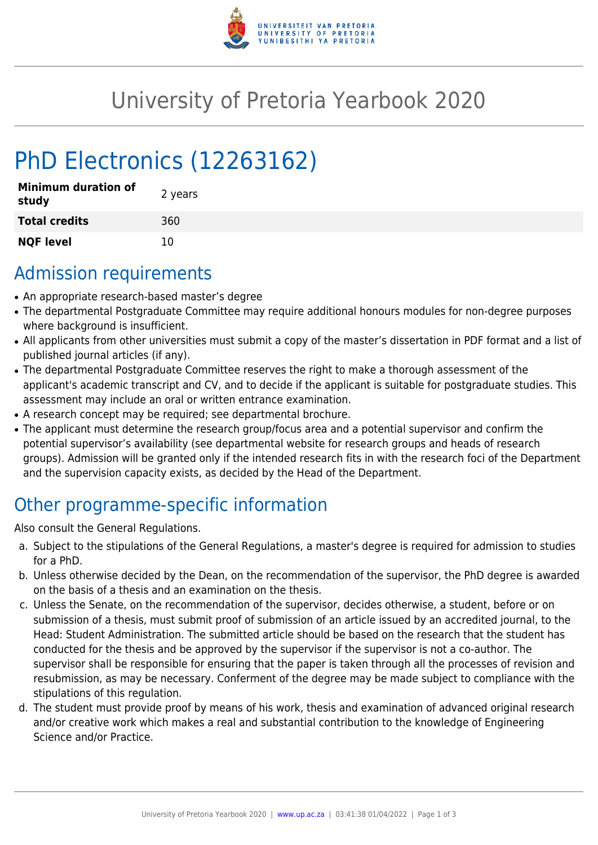

## University of Pretoria Yearbook 2020

# PhD Electronics (12263162)

| <b>Minimum duration of</b><br>study | 2 years |
|-------------------------------------|---------|
| <b>Total credits</b>                | 360     |
| <b>NQF level</b>                    | 10      |

#### Admission requirements

- An appropriate research-based master's degree
- The departmental Postgraduate Committee may require additional honours modules for non-degree purposes where background is insufficient.
- All applicants from other universities must submit a copy of the master's dissertation in PDF format and a list of published journal articles (if any).
- The departmental Postgraduate Committee reserves the right to make a thorough assessment of the applicant's academic transcript and CV, and to decide if the applicant is suitable for postgraduate studies. This assessment may include an oral or written entrance examination.
- A research concept may be required; see departmental brochure.
- The applicant must determine the research group/focus area and a potential supervisor and confirm the potential supervisor's availability (see departmental website for research groups and heads of research groups). Admission will be granted only if the intended research fits in with the research foci of the Department and the supervision capacity exists, as decided by the Head of the Department.

## Other programme-specific information

Also consult the General Regulations.

- a. Subject to the stipulations of the General Regulations, a master's degree is required for admission to studies for a PhD.
- b. Unless otherwise decided by the Dean, on the recommendation of the supervisor, the PhD degree is awarded on the basis of a thesis and an examination on the thesis.
- c. Unless the Senate, on the recommendation of the supervisor, decides otherwise, a student, before or on submission of a thesis, must submit proof of submission of an article issued by an accredited journal, to the Head: Student Administration. The submitted article should be based on the research that the student has conducted for the thesis and be approved by the supervisor if the supervisor is not a co-author. The supervisor shall be responsible for ensuring that the paper is taken through all the processes of revision and resubmission, as may be necessary. Conferment of the degree may be made subject to compliance with the stipulations of this regulation.
- d. The student must provide proof by means of his work, thesis and examination of advanced original research and/or creative work which makes a real and substantial contribution to the knowledge of Engineering Science and/or Practice.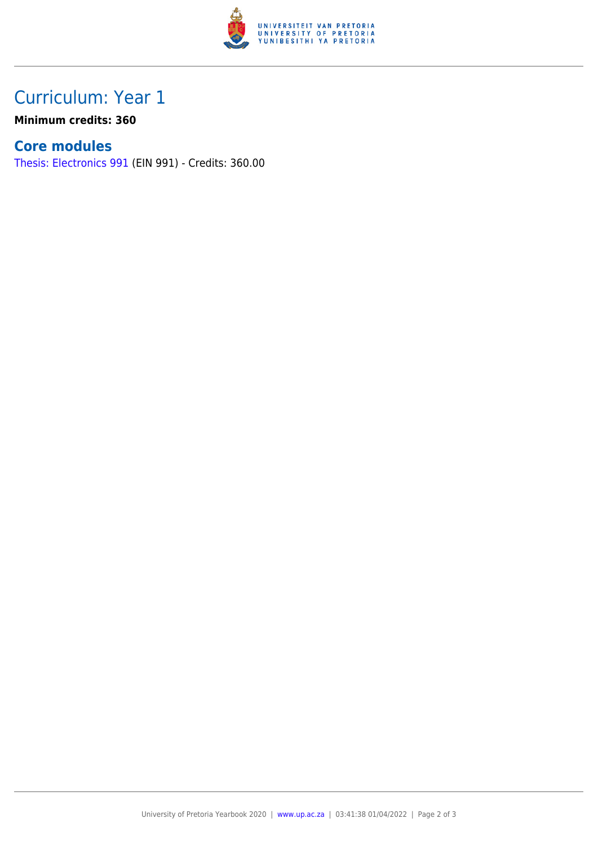

## Curriculum: Year 1

**Minimum credits: 360**

#### **Core modules**

[Thesis: Electronics 991](https://www.up.ac.za/yearbooks/2020/modules/view/EIN 991) (EIN 991) - Credits: 360.00